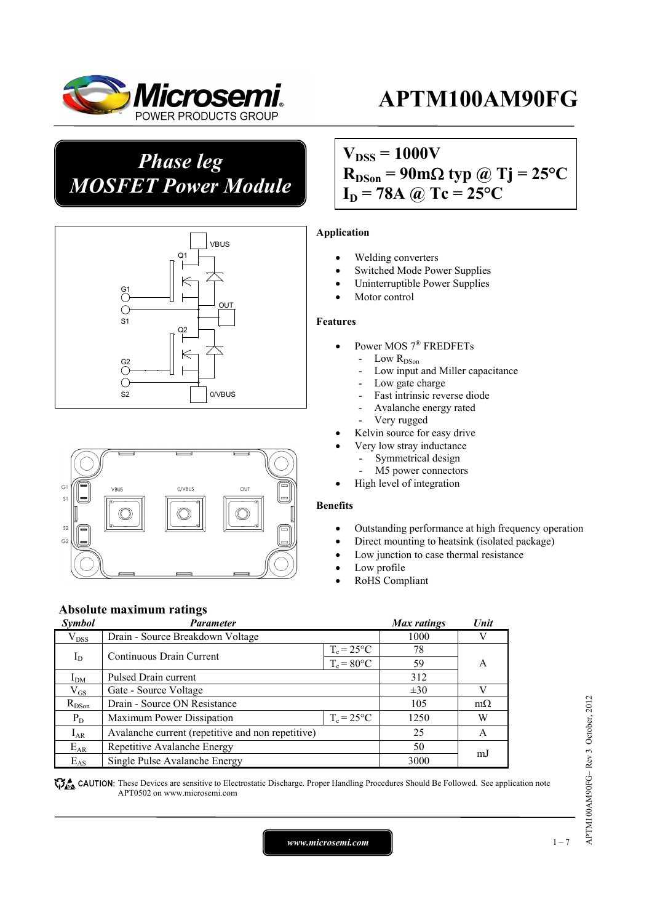

### *Phase leg MOSFET Power Module*





### $V_{DSS} = 1000V$  $R_{DSon}$  = 90m $\Omega$  typ @ Tj = 25<sup>o</sup>C  $I_D = 78A \omega Tc = 25^{\circ}C$

#### **Application**

- Welding converters
- Switched Mode Power Supplies
- Uninterruptible Power Supplies
- Motor control

#### **Features**

- Power MOS 7® FREDFETs
	- Low  $R_{DSon}$
	- Low input and Miller capacitance
	- Low gate charge
	- Fast intrinsic reverse diode
	- Avalanche energy rated
	- Very rugged
- Kelvin source for easy drive
- Very low stray inductance
	- Symmetrical design
	- M5 power connectors
- High level of integration

#### **Benefits**

- Outstanding performance at high frequency operation
- Direct mounting to heatsink (isolated package)
- Low junction to case thermal resistance
- Low profile
- RoHS Compliant

### **Absolute maximum ratings**

| Symbol        | <b>Parameter</b>                                  |               | Max ratings | Unit      |
|---------------|---------------------------------------------------|---------------|-------------|-----------|
| $\rm V_{DSS}$ | Drain - Source Breakdown Voltage                  |               | 1000        | V         |
| $I_D$         | Continuous Drain Current                          | $T_c = 25$ °C | 78          |           |
|               |                                                   | $T_c = 80$ °C | 59          | A         |
| $I_{DM}$      | Pulsed Drain current                              | 312           |             |           |
| $\rm V_{GS}$  | Gate - Source Voltage                             |               | $\pm 30$    | V         |
| $R_{DSon}$    | Drain - Source ON Resistance                      |               | 105         | $m\Omega$ |
| $P_D$         | Maximum Power Dissipation                         | $T_c = 25$ °C | 1250        | W         |
| $I_{AR}$      | Avalanche current (repetitive and non repetitive) |               | 25          | A         |
| $E_{AR}$      | Repetitive Avalanche Energy                       |               | 50          | mJ        |
| $E_{AS}$      | Single Pulse Avalanche Energy                     |               | 3000        |           |

CAUTION: These Devices are sensitive to Electrostatic Discharge. Proper Handling Procedures Should Be Followed. See application note APT0502 on www.microsemi.com

*www.microsemi.com* 1-7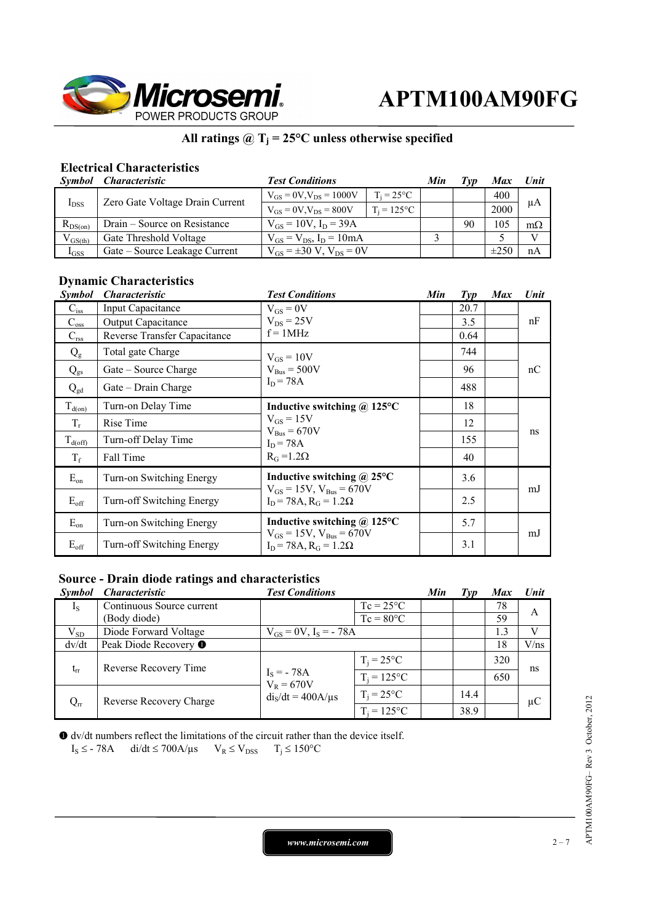

### **All ratings @ Tj = 25°C unless otherwise specified**

### **Electrical Characteristics**

| Symbol       | <i><b>Characteristic</b></i>    | <b>Test Conditions</b>              |                     | Min | Tvd | Max       | Unit         |
|--------------|---------------------------------|-------------------------------------|---------------------|-----|-----|-----------|--------------|
| $I_{DSS}$    | Zero Gate Voltage Drain Current | $V_{GS} = 0V$ , $V_{DS} = 1000V$    | $T_i = 25^{\circ}C$ |     |     | 400       | μA           |
|              |                                 | $V_{GS} = 0V$ , $V_{DS} = 800V$     | $T_i = 125$ °C      |     |     | 2000      |              |
| $R_{DS(on)}$ | Drain – Source on Resistance    | $V_{GS} = 10V$ , $I_D = 39A$        |                     |     | 90  | 105       | $m\Omega$    |
| $V_{GS(th)}$ | Gate Threshold Voltage          | $V_{GS} = V_{DS}$ , $I_D = 10mA$    |                     |     |     |           | $\mathbf{V}$ |
| $I_{GSS}$    | Gate – Source Leakage Current   | $V_{GS} = \pm 30 V$ , $V_{DS} = 0V$ |                     |     |     | $\pm 250$ | nA           |

### **Dynamic Characteristics**

| <i>Symbol</i>       | <i><b>Characteristic</b></i> | <b>Test Conditions</b>                                                        | Min | Type | <b>Max</b> | Unit |
|---------------------|------------------------------|-------------------------------------------------------------------------------|-----|------|------------|------|
| $C_{\rm iss}$       | <b>Input Capacitance</b>     | $V_{GS} = 0V$                                                                 |     | 20.7 |            |      |
| $C_{\rm oss}$       | <b>Output Capacitance</b>    | $V_{DS}$ = 25V                                                                |     | 3.5  |            | nF   |
| $C_{\rm rss}$       | Reverse Transfer Capacitance | $f = 1MHz$                                                                    |     | 0.64 |            |      |
| $Q_{g}$             | Total gate Charge            | $V_{GS} = 10V$                                                                |     | 744  |            |      |
| $Q_{gs}$            | Gate – Source Charge         | $V_{\text{Bus}} = 500V$                                                       |     | 96   |            | nC   |
| $Q_{gd}$            | Gate – Drain Charge          | $I_D = 78A$                                                                   |     | 488  |            |      |
| $T_{d(on)}$         | Turn-on Delay Time           | Inductive switching $\omega$ 125°C                                            |     | 18   |            |      |
| $T_r$               | Rise Time                    | $V_{GS} = 15V$<br>$V_{\text{Bus}} = 670V$<br>$I_D = 78A$<br>$R_G = 1.2\Omega$ |     | 12   |            | ns   |
| $T_{\text{d(off)}}$ | Turn-off Delay Time          |                                                                               |     | 155  |            |      |
| $T_f$               | Fall Time                    |                                                                               |     | 40   |            |      |
| $E_{on}$            | Turn-on Switching Energy     | Inductive switching $\omega$ 25°C<br>$V_{GS} = 15V$ , $V_{Bus} = 670V$        |     | 3.6  |            | mJ   |
| $E_{\text{off}}$    | Turn-off Switching Energy    | $I_D$ = 78A, $R_G$ = 1.2 $\Omega$                                             |     | 2.5  |            |      |
| $E_{on}$            | Turn-on Switching Energy     | Inductive switching $\omega$ 125°C                                            |     | 5.7  |            |      |
| $E_{\text{off}}$    | Turn-off Switching Energy    | $V_{GS} = 15V$ , $V_{Bus} = 670V$<br>$I_D = 78A, R_G = 1.2\Omega$             |     | 3.1  |            | mJ   |

### **Source - Drain diode ratings and characteristics**

| <i>Symbol</i> | <i>Characteristic</i>            | <b>Test Conditions</b>       |                     | Min | $\mathcal{I}yp$ | <b>Max</b> | <b>Unit</b> |
|---------------|----------------------------------|------------------------------|---------------------|-----|-----------------|------------|-------------|
| $I_{S}$       | Continuous Source current        |                              | $Tc = 25^{\circ}C$  |     |                 | 78         | A           |
|               | (Body diode)                     |                              | $Tc = 80^{\circ}C$  |     |                 | 59         |             |
| $V_{SD}$      | Diode Forward Voltage            | $V_{GS} = 0V$ , $I_S = -78A$ |                     |     |                 | 1.3        |             |
| dv/dt         | Peak Diode Recovery <sup>O</sup> |                              |                     |     |                 | 18         | V/ns        |
| $t_{rr}$      | Reverse Recovery Time            |                              | $T_i = 25^{\circ}C$ |     |                 | 320        | ns          |
|               |                                  | $I_S = -78A$<br>$V_R = 670V$ | $T_i = 125$ °C      |     |                 | 650        |             |
| $Q_{rr}$      | Reverse Recovery Charge          | $dis/dt = 400A/µs$           | $T_i = 25^{\circ}C$ |     | 14.4            |            | $\mu$ C     |
|               |                                  |                              | $T_i = 125$ °C      |     | 38.9            |            |             |

dv/dt numbers reflect the limitations of the circuit rather than the device itself.

$$
I_S \leq -78A \qquad \text{di/dt} \leq 700A/\mu s \qquad V_R \leq V_{DSS} \qquad T_j \leq 150^{\circ}C
$$

*www.microsemi.com* 2-7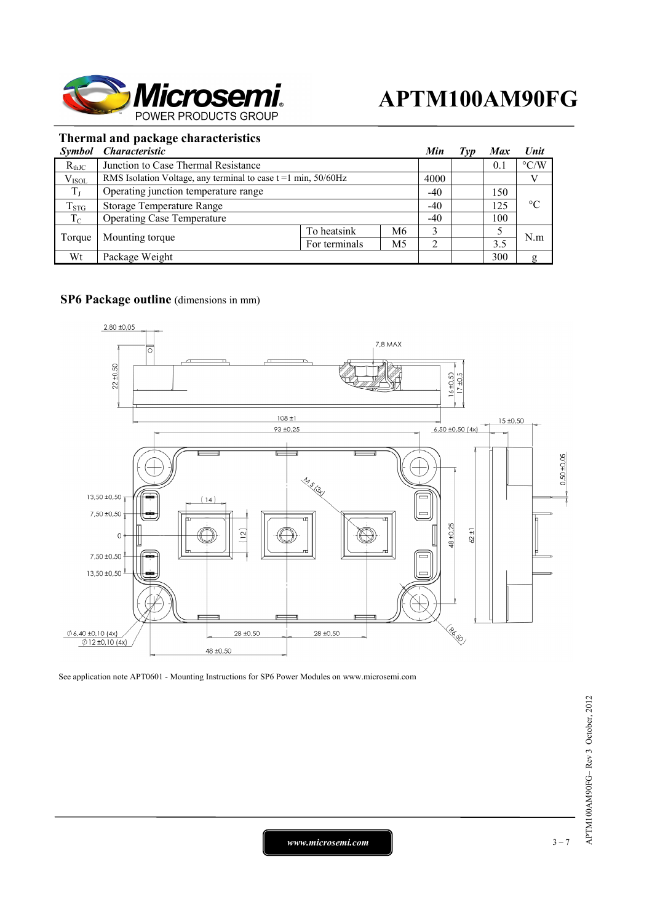

### **Thermal and package characteristics**

| <i>Symbol</i> | <i><b>Characteristic</b></i>                                        |               |       | Min   | Typ | <b>Max</b> | Unit               |
|---------------|---------------------------------------------------------------------|---------------|-------|-------|-----|------------|--------------------|
| $R_{thJC}$    | Junction to Case Thermal Resistance                                 |               |       |       |     | 0.1        | $\rm ^{\circ}$ C/W |
| $V_{ISOL}$    | RMS Isolation Voltage, any terminal to case $t = 1$ min, $50/60$ Hz |               |       | 4000  |     |            |                    |
| $T_{J}$       | Operating junction temperature range                                |               | $-40$ |       | 150 |            |                    |
| $T_{STG}$     | <b>Storage Temperature Range</b>                                    |               |       | $-40$ |     | 125        | $^{\circ}C$        |
| $T_{\rm C}$   | <b>Operating Case Temperature</b>                                   |               |       | $-40$ |     | 100        |                    |
| Torque        | Mounting torque                                                     | To heatsink   | M6    | 2     |     |            | N.m                |
|               |                                                                     | For terminals | M5    |       |     | 3.5        |                    |
| Wt            | Package Weight                                                      |               |       |       |     | 300        | g                  |

#### **SP6 Package outline** (dimensions in mm)



See application note APT0601 - Mounting Instructions for SP6 Power Modules on www.microsemi.com

*www.microsemi.com* 1 2 – 7 2 – 7 2 – 7 2 – 7 2 – 7 2 – 7 2 – 7 2 – 7 2 – 7 2 – 7 2 – 7 2 – 7 2 – 7 2 – 7 2 – 7 2 – 7 2 – 7 2 – 7 2 – 7 2 – 7 2 – 7 2 – 7 2 – 7 2 – 7 2 – 7 2 – 7 2 – 7 2 – 7 2 – 7 2 – 7 2 – 7 2 – 7 2 – 7 2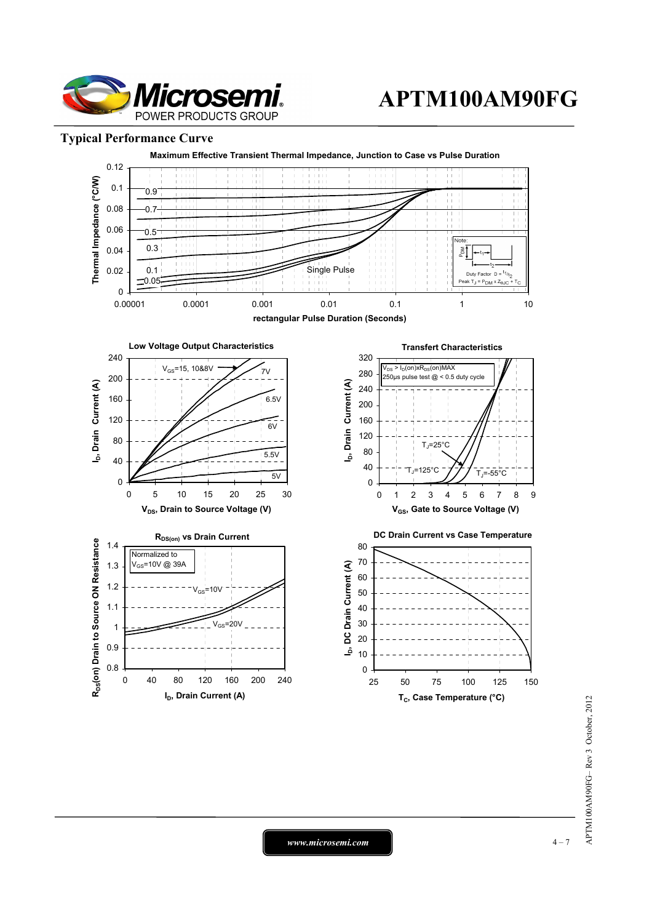

#### **Typical Performance Curve**



*www.microsemi.com* 1 – 7 – 4 – 7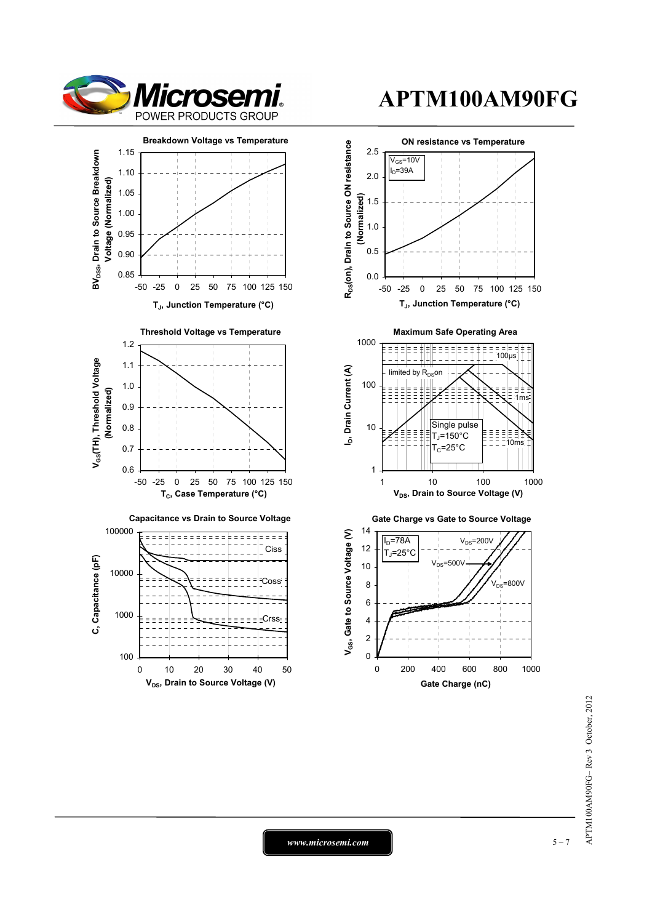



0 10 20 30 40 50 **V<sub>DS</sub>**, Drain to Source Voltage (V)

100

# **APTM100AM90FG**



*www.microsemi.com* 1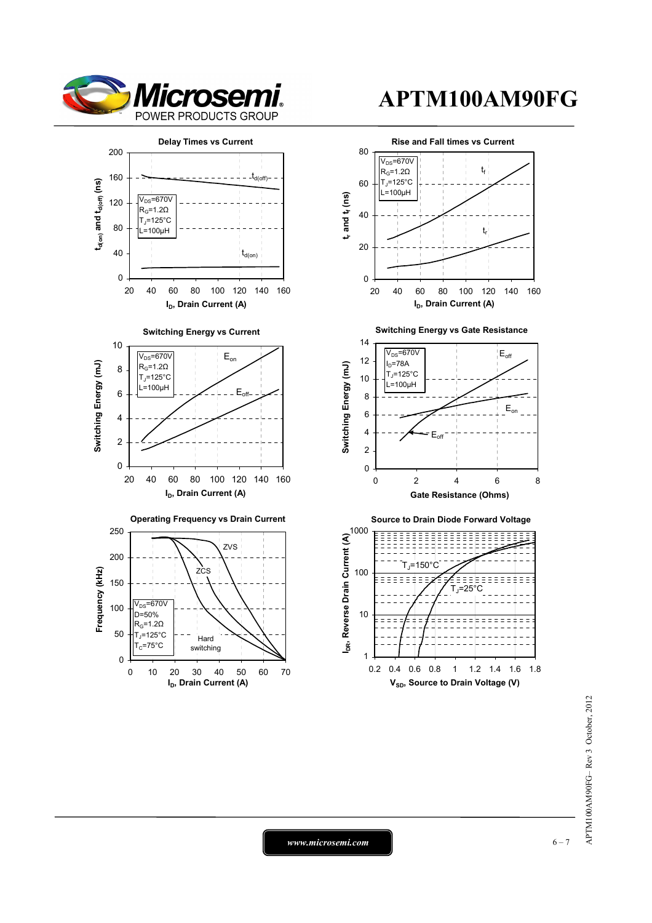

**td(on) and td(off) (ns)**

t<sub>d(on)</sub> and t<sub>d(off)</sub> (ns)

**Switching Energy (mJ)**

Switching Energy (mJ)

**Frequency (kHz)**

Frequency (kHz)

# **APTM100AM90FG**



*www.microsemi.com* 6-7